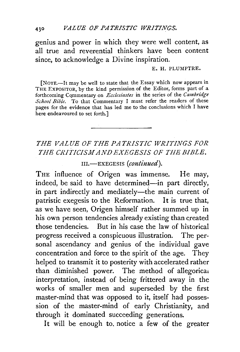genius and power in which they were well content, as all true and reverential thinkers have been content since, to acknowledge a Divine inspiration.

## E. H. PLUMPTRE.

[NOTE.—It may be well to state that the Essay which now appears in THE EXPOSITOR, by the kind permission of the Editor, forms part of a forthcoming Cqmmentary on *Ecclesiastes* in the series of the *Cambridge School Bible.* To that Commentary I must refer the readers of these pages for the evidence that has led me to the conclusions which I have here endeavoured to set forth.]

## *THE VALUE OF THE PATRISTIC WRITINGS FOR THE CRITICISM AND EXEGESIS OF THE BIBLE.*

111.-EXEGESIS *(continued).* 

THE influence of Origen was immense. He may, indeed, be said to have determined-in part directly, in part indirectly and mediately-the main current of patristic exegesis to the Reformation. It is true that, as we have seen, Origen himself rather summed up in his own person tendencies already existing than created those tendencies. But in his case the law of historical progress received a conspicuous illustration. The personal ascendancy and genius of the individual gave concentration and force to the spirit of the age. They helped to transmit it to posterity with accelerated rather than diminished power. The method of allegorical interpretation, instead of being frittered away in the works of smaller men and superseded by the first master-mind that was opposed to it, itself had possession of the master-mind of early Christianity, and through it dominated succeeding generations.

It will be enough to, notice a few of the greater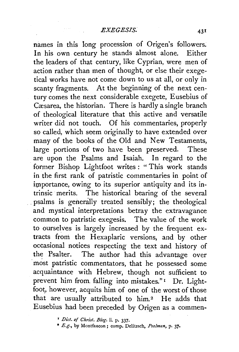names in this long procession of Origen's followers. In his own century he stands almost alone. Either the leaders of that century, like Cyprian, were men of action rather than men of thought, or else their exegetical works have not come down to us at all, or only in scanty fragments. At the beginning of the next century comes the next considerable exegete, Eusebius of Cæsarea, the historian. There is hardly a single branch of theological literature that this active and versatile writer did not touch. Of his commentaries, properly so called, which seem originally to have extended over many of the books of the Old and New Testaments, large portions of two have been preserved. These are upon the Psalms and Isaiah. In regard to the former Bishop Lightfoot writes : " This work stands in the first rank of patristic commentaries in point of importance, owing to its superior antiquity and its intrinsic merits. The historical bearing of the several . psalms is generally treated sensibly; the theological and mystical interpretations betray the extravagance common to patristic exegesis. The value of the work to ourselves is largely increased by the frequent extracts from the Hexaplaric versions, and by other occasional notices respecting the text and history of the Psalter. The author had this advantage over most patristic commentators, that he possessed some acquaintance with Hebrew, though not sufficient to prevent him from. falling into mistakes."<sup>1</sup> Dr. Lightfoot, however, acquits him of one of the worst of those that are usually attributed to him.<sup>2</sup> He adds that Eusebius had been preceded by Origen as a commen-

• *E.g.,* by Montfaucon; comp. Delitzsch, *Psa!men,* p. 37•

<sup>r</sup>*Diet. of Christ. Biog.* ii. p. 337·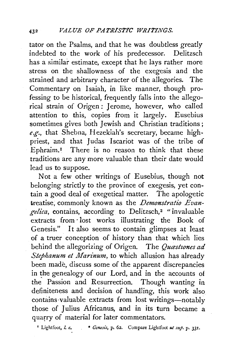tator on the Psalms, and that he was doubtless greatly indebted to the work of his predecessor. Delitzsch has a similar estimate, except that he lays rather more stress on the shallowness of the exegesis and the strained and arbitrary character of the allegories. The Commentary on Isaiah, in like manner, though professing to be historical, frequently falls into the allegorical strain of Origen: Jerome, however, who called attention to this, copies from it largely. Eusebius sometimes gives both Jewish and Christian traditions; *e.g.,* that Shebna, Hezekiah's secretary, became highpriest, and that Judas Iscariot was of the tribe of Ephraim.<sup>1</sup> There is no reason to think that these traditions are any more valuable than their date would lead us to suppose.

Not a few other writings of Eusebius, though not belonging strictly to the province of exegesis, yet contain a good deal of exegetical matter. The apologetic treatise, commonly known as the *Demonstratio Evangelica*, contains, according to Delitzsch,<sup>2</sup> "invaluable extracts from ·lost works illustrating the Book of Genesis." It also seems to contain glimpses at least of a truer conception of history than that which lies behind the allegorizing of Origen. The *Quastiones ad Stephanum et Marinum*, to which allusion has already been made, discuss some of the apparent discrepancies in the genealogy of our Lord, and in the accounts of the Passion and Resurrection. Though wanting in definiteness and decision of handling, this work also contains valuable extracts from lost writings-notably those of Julius Africanus, and in its turn became a quarry of material for later commentators.

• Lightfoot, I. *c.* • *Genesis,* p. 62. Compare Lightfoot ut *sup.* p. 331.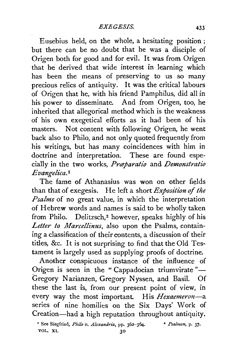Eusebius held, on the whole, a hesitating position; but there can be no doubt that he was a disciple of Origen both for good and for evil. It was from Origen that he derived that wide interest in learning which has been the means of preserving to us so many precious relics of antiquity. It was the critical labours of Origen that he, with his friend Pamphilus, did all in his power to disseminate. And from Origen, too, he inherited that allegorical method which is the weakness of his own exegetical efforts as it had been of his masters. Not content with following Origen, he went back also to Philo, and not only quoted frequently from his writings, but has many coincidences with him in doctrine and interpretation. These are found especially in the two works, *Prceparatio* and. *Demonstratio E vangelica.* <sup>1</sup>

The fame of Athanasius was won on other fields than that of exegesis. He left a short *Exposition of the Psalms* of no great value, in which the interpretation of Hebrew words and names is said to be wholly taken from Philo. Delitzsch,2 however, speaks highly of his *Letter to Marcellinus,* also upon the Psalms, containing a classification of their contents, a discussion of their titles, &c. It is not surprising to find that the Old Testament is largely used as supplying proofs of doctrine.

Another conspicuous instance of the influence of Origen is seen in the "Cappadocian triumvirate"-Gregory Nazianzen, Gregory N yssen, and Basil. Of these the last is, from our present point of view, in every way the most important. His *Hexaemeron*-a series of nine homilies on the Six Days' Work of Creation-had a high reputation throughout antiquity.

<sup>&</sup>lt;sup>1</sup> See Siegfried, *Philo v. Alexandria*, pp. 362-364. <sup>2</sup> Psalmen, p. 37. VOL. XI. 30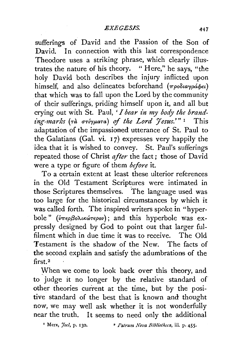sufferings of David and the Passion of the Son of David. In connection with this last correspondence Theodore uses a striking phrase, which clearly illustrates the nature of his theory. " Here," he says, "the holy David both describes the injury inflicted upon himself, and also delineates beforehand ( $\pi \rho o \delta u \gamma \rho a \phi \epsilon \iota$ ) that which was to fall upon the Lord by the community of their sufferings, priding himself upon it, and all but crying out with St. Paul, *'I bear in my body the brand-£ng-marks* (Ta *(ntryp,aTa)* of *the Lord* 'Jesus;~"' 1 This adaptation of the impassioned utterance of St. Paul to the Galatians (Gal. vi. 17) expresses very happily the idea that it is wished to convey. St. Paul's sufferings repeated those of Christ *after* the fact; those of David were a type or figure of them *before* it.

To a certain extent at least these ulterior references in the Old Testament Scriptures were intimated in those Scriptures themselves. The language used was too large for the historical circumstances by which it was called forth. The inspired writers spoke in "hyperbole" (*υπερβολικώτερον*); and this hyperbole was expressly designed by God to point out that larger fulfilment which in due time it was to receive. The Old Testament is the shadow of the New. The facts of the second explain and satisfy the adumbrations of the first.<sup>2</sup>

When we come to look back over this theory, and to judge it no longer by the relative standard of other theories current at the time, but by the positive standard of the best that is known and thought now, we may well ask whether it is not wonderfully near the truth. It seems to need only the additional

' Merx, *Joc!,* p. 130. • *Patrum Nova Bibliotkeca,* iii. p. 455·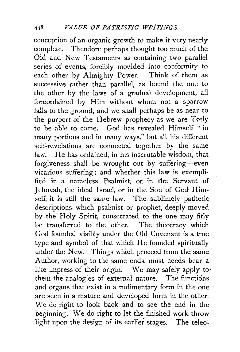conception of an organic growth to make it very nearly complete. Theodore perhaps thought too much of the Old and New Testaments as containing two parallel series of events, forcibly moulded into conformity to each other by Almighty Power. Think of them as successive rather than parallel, as bound the one to the other by the laws of a gradual development, all foreordained by Him without whom not a sparrow falls to the ground, and we shall perhaps be as near to the purport of the Hebrew prophecy as we are likely to be able to come. God has revealed Himself "in many portions and in many ways," but all his different self-revelations are connected together by the same law. He has ordained, in his inscrutable wisdom, that forgiveness shall be wrought out by suffering-even vicarious suffering; and whether this law is exemplified in a nameless Psalmist, or. in the Servant of Jehovah, the ideal Israel, or in the Son of God Himself, it is still the same law. The sublimely pathetic descriptions which psalmist or prophet, deeply moved by the Holy Spirit, consecrated to the one may fitly be transferred to the other. The theocracy which God founded visibly under the Old Covenant is a true type and symbol of that which He founded spiritually under the New. Things which proceed from the same Author, working to the same ends, must needs bear a like impress of their origin. We may safely apply to· them the analogies of external nature. The functions and organs that exist in a rudimentary form in the one are seen in a mature and developed form in the other. We do right to look back and to see the end in the beginning. We do right to let the finished work throw light upon the design of its earlier stages. The teleo-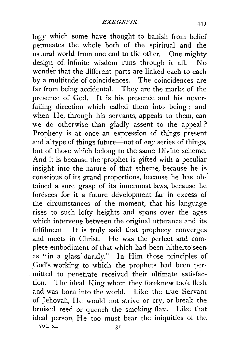logy which some have thought to banish from belief permeates the whole both of the spiritual and the natural world from one end to the other. One mighty design of infinite wisdom runs through it all. No wonder that the different parts are linked each to each by a multitude of coincidences. The coincidences are far from being accidental. They are the marks of the presence of God. It is his presence and his neverfailing direction which called them into being; and when He, through his servants, appeals to them, can we do otherwise than gladly assent to the appeal ? Prophecy is at once an expression of things present and a' type of things future-not of *any* series of things, but of those which belong to the same Divine scheme. And it is because the prophet is gifted with a peculiar insight into the nature of that scheme, because he is conscious of its grand proportions, because he has obtained a sure grasp of its innermost laws, because he foresees for it a future development far in excess of the circumstances of the moment, that his language rises to such lofty heights and spans over the ages which intervene between the original utterance and its fulfilment. It is truly said that prophecy converges and meets in Christ. He was the perfect and complete embodiment of that which had been hitherto seen as "in a glass darkly." In Him those principles of .God's working to which the prophets had been permitted to penetrate received their ultimate satisfaction. The ideal King whom they foreknew took flesh and was born into the world. Like the true Servant of Jehovah, He would not strive or cry, or break the bruised reed or quench the smoking flax. Like that ideal person, He too must bear the iniquities of the VOL. XI.  $3<sup>T</sup>$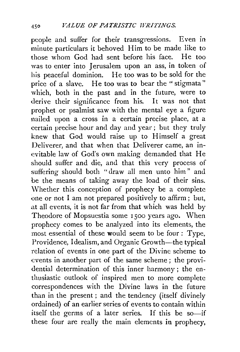people and suffer for their transgressions. Even in minute particulars it behoved Him to be made like to those whom God had sent before his face. He too was to enter into Jerusalem upon an ass, in token of his peaceful dominion. He too was to be sold for the price of a slave. He too was to bear the "stigmata" which, both in the past and in the future, were to derive their significance from his. It was not that prophet or psalmist saw with the mental eye a figure nailed upon a cross in a certain precise place, at a certain precise hour and day and year; but they truly knew that God would raise up to Himself a great Deliverer, and that when that Deliverer came, an inevitable law of God's own making demanded that He should suffer and die, and that this very process of suffering should both "draw all men unto him" and be the means of taking away the load of their sins. Whether this conception of prophecy be a complete one or not I am not prepared positively to affirm; but, at all events, it is not far from that which was held by Theodore of Mopsuestia some 1500 years ago. When prophecy comes to be analyzed into its elements, the most essential of these would seem to be four : Type, Providence, Idealism, and Organic Growth--the typical relation of events in one part of the Divine scheme to events in another part of the same scheme ; the providential determination of this inner harmony ; the enthusiastic outlook of inspired men to more complete correspondences with the Divine laws in the future than in the present ; and the tendency (itself divinely ordained) of an earlier series of events to contain within itself the germs of a later series. If this be so-if these four are really the main elements in prophecy,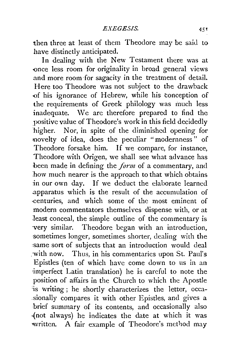then three at least of them Theodore may be said to have distinctly anticipated.

In dealing with the New Testament there was at -once less room for originality in broad general views and more room for sagacity in the treatment of detail. Here too Theodore was not subject to the drawback of his ignorance of Hebrew, while his conception of the requirements of Greek philology was much less inadequate. We are therefore prepared to find the positive value of Theodore's work in this field decidedly higher. Nor, in spite of the diminished opening for novelty of idea, does the peculiar "modernness" of Theodore forsake him. If we compare, for instance, Theodore with Origen, we shall see what advance has been made in defining the *form* of a commentary, and .how much nearer is the approach to that which obtains in our own day. If we deduct the elaborate learned ..apparatus which is the result of the accumulation of «:enturies, and which some of the most eminent of modern commentators themselves dispense with, or at least conceal, the simple outline of the commentary is ·very similar. Theodore began with an introduction, ·sometimes longer, sometimes shorter, dealing with the :same sort of subjects that an introduction would deal :with now. Thus, in his commentaries upon St. Paul's Epistles (ten of which have come down to us in an 'imperfect Latin translation) he is careful to note the position of affairs in the Church to \vhich the Apostle :is writing ; he shortly characterizes the letter, occa- :sionally compares it with other Epistles, and gives a brief summary of its contents, and occasionally also ~not always) he indicates the date at which it was written. A fair example of Theodore's method may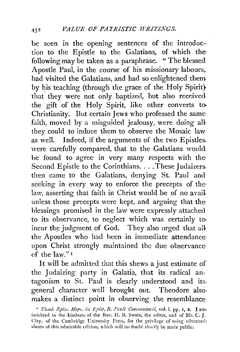be seen in the opening sentences of the introduction to the Epistle to the Galatians, of which the following may be taken as a paraphrase. " The blessed Apostle Paul, in the course of his missionary labours,. had visited the Galatians, and had so enlightened them by his teaching (through the grace of the Holy Spirit} that they were not only baptized, but also received the gift of the Holy Spirit, like other converts to-Christianity. But certain Jews who professed the same faith, moved by a misguided jealousy, were doing all they could to induce them to observe the Mosaic law as well. Indeed, if the arguments of the two Epistles. were carefully compared, that to the Galatians would be found to agree in very many respects with the Second Epistle to the Corinthians. . . . These Judaizers. then came to the Galatians, denying St. Paul and seeking in every way to enforce the precepts of the law, asserting that faith in Christ would be of no avail unless those precepts were kept, and arguing that the blessings promised in the law were expressly attached to its observance, to neglect which was certainly to· incur the judgment of God. They also urged that all the Apostles who had been in immediate attendance· upon Christ strongly maintained the due observance· of the 'law." $I$ 

It will be admitted that this shews a just estimate of the Judaizing party in Galatia, that its radical antagonism to St. Paul is clearly understood and its. general character well brought out. Theodore also. makes a distinct point in observing the resemblance·

<sup>&</sup>lt;sup>1</sup> *Theod. Episc. Mops. in Epist. B. Pauli Commentarii*, vol. i. pp. 1, 2. I am<sup>,</sup> indebted to the kindness of the Rev. H. B. Swete, the editor, and of Mr. C. J. Clay, of the Cambridge University Press, for the privilege of using advanced; sheets of this admirable edition, which will no doubt shortly be made public.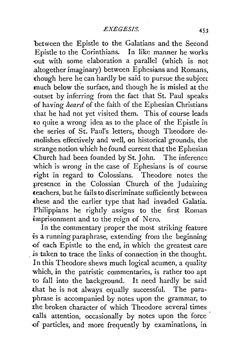between the Epistle to the Galatians and the Second Epistle to the Corinthians. In like manner he works -out with some elaboration a parallel (which is not .altogether imaginary) between Ephesians and Romans, though here he can hardly be said to pursue the subject much below the surface, and though he is misled at the ·outset by inferring from the fact that St. Paul speaks ·of having *heard* of the faith of the Ephesian Christians that he had not yet visited them. This of course leads to quite a wrong idea as to the place of the Epistle in the series of St. Paul's letters, though Theodore demolishes effectively and well, on historical grounds, the strange notion which he found current that the Ephesian Church had been founded by St. John. The inference which is wrong in the case of Ephesians is of course right in regard to Colossians. Theodore notes the presence in the Colossian Church of the Judaizing teachers, but he fails to discriminate sufficiently between these and the earlier type that had invaded Galatia. Philippians he rightly assigns to the first Roman imprisonment and to the reign of Nero.

In the commentary proper the most striking feature is a running paraphrase, extending from the beginning -of each Epistle to the end, in which the greatest care is taken to trace the links of connection in the thought. In this Theodore shews much logical acumen, a quality which, in the patristic commentaries, is rather too apt to fall into the background. It need hardly be said that he is not always equally successful. The paraphrase is accompanied by notes upon the grammar, to the broken character of which Theodore several times calls attention, occasionally by notes upon the force of particles, and more frequently by examinations, in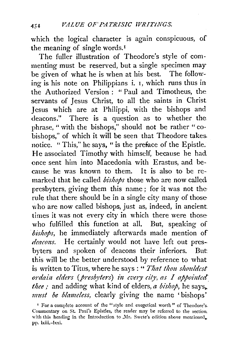which the logical character is again conspicuous, of the meaning of single words.<sup>1</sup>

The fuller illustration of Theodore's style of commenting must be reserved, but a single specimen may be given of what he is when at his best. The following is his note on Philippians i. I, which runs thus in the Authorized Version : " Paul and Timotheus, the servants of Jesus Christ, to all the saints in Christ. Jesus which are at Philippi, with the bishops and deacons." There is a question as to whether the phrase, " with the bishops," should not be rather " eobishops," of which it will be seen that Theodore takes. notice. " This," he says, " is the preface of the Epistle. He associated Timothy with himself, because he had once sent him into Macedonia with Erastus, and because he was known to them. It is also to be remarked that he called *bishops* those who are now called. presbyters, giving them this name ; for it was not therule that there should be in a single city many of those who are now called bishops, just as, indeed, in ancient. times it was not every city in which there were those who fulfilled this function at all. But, speaking of bishops, he immediately afterwards made mention of deacons. He certainly would not have left out presbyters and spoken of deacons their inferiors. But this will be the better understood by reference to what is written to Titus, where he says : '' *That thou shouldest*  ordain elders (presbyters) in cvery city, as I appointed *thee,-* and adding what kind of elders, *a bishop,* he says,. *must be blameless,* clearly giving the name 'bishops'

<sup>&#</sup>x27; For a complete account of the "style and exegetical worth" of Thcodore's. Commentary on St. Paul's Epistles, the reader may be referred to the section. with this heading in the Introduction to Mr. Swete's edition above mentioned. pp. lxiii.-lxxi.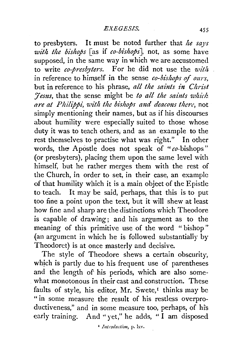to presbyters. It must be noted further that *he says with the bishops* [as if *eo-bishops],* not, as some have supposed, in the same way in which we are accustomed to write *eo-presbyters.* For he did not use the *u'ith*  in reference to himself in the sense *co-bishops of ours*, but in reference to his phrase, *all the saints in Christ Fesus, that the sense might be to all the saints which are at Philippi, with the bishops and deacons there, not* simply mentioning their names, but as if his discourses about humility were especially suited to those whose duty it was to teach others, and as an example to the rest themselves to practise what was right." In other words, the Apostle does not speak of " $co$ -bishops" (or presbyters), placing them upon the same level with himself, but he rather merges them with the rest of the Church, in order to set, in their case, an example of that humility which it is a main object of the Epistle to teach. It may be said, perhaps, that this is to put too fine a point upon the text, but it will shew at least how fine and sharp are the distinctions which Theodore is capable of drawing; and his argument as to the meaning of this primitive use of the word " bishop" (an argument in which he is followed substantially by Theodoret) is at once masterly and decisive.

The style of Theodore shews a certain obscurity, which is partly due to his frequent use of parentheses and the length of' his periods, which are also some what monotonous in their cast and construction. These faults of style, his editor, Mr. Swete,<sup> $t$ </sup> thinks may be "in some measure the result of his restless overproductiveness," and in some measure too, perhaps, of his early training. And "yet," he adds, "I am disposed

<sup>1</sup> *Introduction*, p. lxv.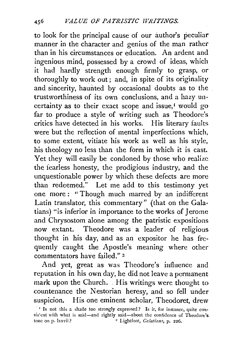to look for the principal cause of our author's peculiar manner in the character and genius of the man rather than in his circumstances or education. An ardent and ingenious mind, possessed by a crowd of ideas, which it had hardly strength enough firmly to grasp, or thoroughly to work out; and, in spite of its originality and sincerity, haunted by occasional doubts as to the trustworthiness of its own conclusions, and a hazy uncertainty as to their exact scope and issue,<sup> $1$ </sup> would go far to produce a style of writing such as Theodore's critics have detected in his works. His literary faults were but the reflection of mental imperfections which, to some extent, vitiate his work as well as his style, his theology no less than the form in which it is cast. Yet they will easily be condoned by those who realize the fearless honesty, the prodigious industry, and the unquestionable power by which these defects are more than redeemed." Let me add to this testimony yet one more : "Though much marred by an indifferent Latin translator, this commentary" (that on the Galatians) "is inferior in importance to the works of Jerome and Chrysostom alone among the patristic expositions now extant. Theodore was a leader of religious thought in his day, and as an expositor he has frequently caught the Apostle's meaning where other commentators have failed." 2

And yet, great as was Theodore's influence and reputation in his own day, he did not leave a permanent mark upon the Church. His writings were thought to countenance the Nestorian heresy, and so fell under suspicion. His one eminent scholar, Theodoret, drew

<sup>&</sup>lt;sup>1</sup> Is not this a shade too strongly expressed? Is it, for instance, quite consis:ent with what is said-and rightly said-about the confidence of Theodore's tone on p. Ixxvii? <sup>2</sup> Lightfoot, *Galatians*, p. 226.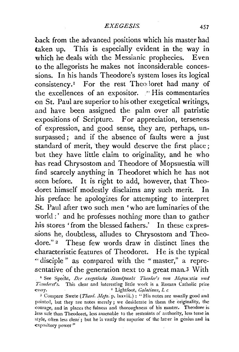back from the advanced positions which his master had taken up. This is especially evident in the way in which he deals with the Messianic prophecies. Even to the allegorists he makes not inconsiderable concessions. In his hands Theodore's system loses its logical consistency.<sup>1</sup> For the rest Theo loret had many of the excellences of an expositor.  $\cdot$  His commentaries on St. Paul are superior to his other exegetical writings, and have been assigned the palm over all patristic expositions of Scripture. For appreciation, terseness of expression, and good sense, they are, perhaps, unsurpassed; and if the absence of faults were a just standard of merit, 'they would deserve the first place ; but they have little claim to originality, and he who has read Chrysostom and Theodore of Mopsuestia will find scarcely anything in Theodoret which he has not seen before. It is right to add, however, that Theodoret himself modestly disclaims any such merit. In his preface he apologizes for attempting to interpret St. Paul after two such men 'who are luminaries of the world :' and he professes nothing more than to gather his stores 'from the blessed fathers.' In these expressions he, doubtless, alludes to Chrysostom and Theo dore."<sup>2</sup> These few words draw in distinct lines the characteristic features of Theodoret. He is the typical " disciple " as compared with the " master," a representative of the generation next to a great man.3 With

<sup>&</sup>lt;sup>1</sup> See Specht, *Der exegetische Standpunkt Theodor's von Mopsu:stia und* Theodoret's. This clear and interesting little work is a Roman Catholic prize essay. 2 Lightfoot, *Galatians*, *l. c.* <sup>2</sup> Lightfoot, *Galatians*, *l. c.* 

<sup>&</sup>lt;sup>3</sup> Compare Swete (*Theod. Mops.* p. lxxviii.) : "His notes are usually good and pointed, but they are notes merely ; we desiderate in them the originality, the -courage, and in places the fulness and thoroughness of his master.. Theodore is *less* safe than Theodoret, less amenable to the restraints of authority, less terse in style, often less clear; but he is vastly the superior of the latter in genius and in expository power"